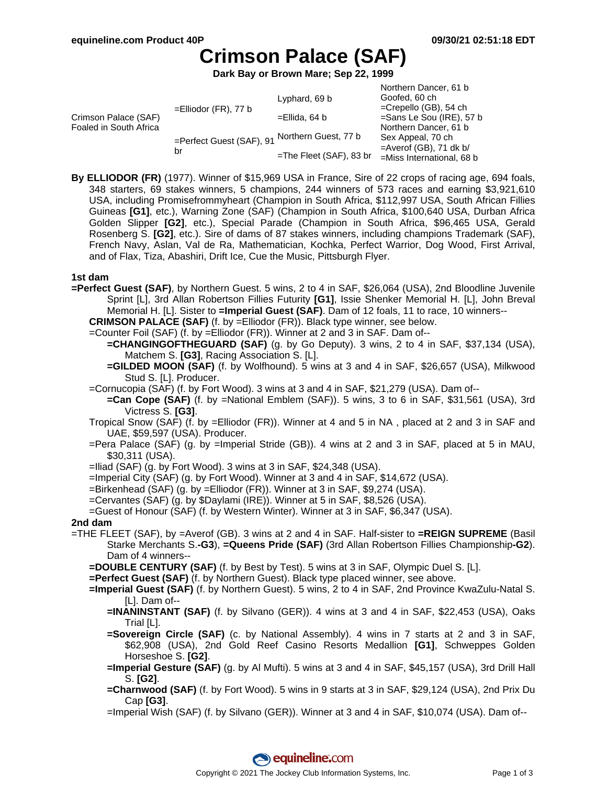Northern Dancer, 61 b

# **Crimson Palace (SAF)**

**Dark Bay or Brown Mare; Sep 22, 1999**

| NOITHEITH DANCER, OT D                     |
|--------------------------------------------|
|                                            |
| $=$ Crepello (GB), 54 ch                   |
| $=$ Sans Le Sou (IRE), 57 b                |
| Northern Dancer, 61 b<br>Sex Appeal, 70 ch |
|                                            |
| =Miss International, 68 b                  |
|                                            |

**By ELLIODOR (FR)** (1977). Winner of \$15,969 USA in France, Sire of 22 crops of racing age, 694 foals, 348 starters, 69 stakes winners, 5 champions, 244 winners of 573 races and earning \$3,921,610 USA, including Promisefrommyheart (Champion in South Africa, \$112,997 USA, South African Fillies Guineas **[G1]**, etc.), Warning Zone (SAF) (Champion in South Africa, \$100,640 USA, Durban Africa Golden Slipper **[G2]**, etc.), Special Parade (Champion in South Africa, \$96,465 USA, Gerald Rosenberg S. **[G2]**, etc.). Sire of dams of 87 stakes winners, including champions Trademark (SAF), French Navy, Aslan, Val de Ra, Mathematician, Kochka, Perfect Warrior, Dog Wood, First Arrival, and of Flax, Tiza, Abashiri, Drift Ice, Cue the Music, Pittsburgh Flyer.

# **1st dam**

- **=Perfect Guest (SAF)**, by Northern Guest. 5 wins, 2 to 4 in SAF, \$26,064 (USA), 2nd Bloodline Juvenile Sprint [L], 3rd Allan Robertson Fillies Futurity **[G1]**, Issie Shenker Memorial H. [L], John Breval Memorial H. [L]. Sister to **=Imperial Guest (SAF)**. Dam of 12 foals, 11 to race, 10 winners--
	- **CRIMSON PALACE (SAF)** (f. by =Elliodor (FR)). Black type winner, see below. =Counter Foil (SAF) (f. by =Elliodor (FR)). Winner at 2 and 3 in SAF. Dam of--
		- **=CHANGINGOFTHEGUARD (SAF)** (g. by Go Deputy). 3 wins, 2 to 4 in SAF, \$37,134 (USA), Matchem S. **[G3]**, Racing Association S. [L].
		- **=GILDED MOON (SAF)** (f. by Wolfhound). 5 wins at 3 and 4 in SAF, \$26,657 (USA), Milkwood Stud S. [L]. Producer.
	- =Cornucopia (SAF) (f. by Fort Wood). 3 wins at 3 and 4 in SAF, \$21,279 (USA). Dam of--
	- **=Can Cope (SAF)** (f. by =National Emblem (SAF)). 5 wins, 3 to 6 in SAF, \$31,561 (USA), 3rd Victress S. **[G3]**.
	- Tropical Snow (SAF) (f. by =Elliodor (FR)). Winner at 4 and 5 in NA , placed at 2 and 3 in SAF and UAE, \$59,597 (USA). Producer.
	- =Pera Palace (SAF) (g. by =Imperial Stride (GB)). 4 wins at 2 and 3 in SAF, placed at 5 in MAU, \$30,311 (USA).
	- =Iliad (SAF) (g. by Fort Wood). 3 wins at 3 in SAF, \$24,348 (USA).
	- =Imperial City (SAF) (g. by Fort Wood). Winner at 3 and 4 in SAF, \$14,672 (USA).
	- =Birkenhead (SAF) (g. by =Elliodor (FR)). Winner at 3 in SAF, \$9,274 (USA).
	- =Cervantes (SAF) (g. by \$Daylami (IRE)). Winner at 5 in SAF, \$8,526 (USA).

=Guest of Honour (SAF) (f. by Western Winter). Winner at 3 in SAF, \$6,347 (USA).

### **2nd dam**

- =THE FLEET (SAF), by =Averof (GB). 3 wins at 2 and 4 in SAF. Half-sister to **=REIGN SUPREME** (Basil Starke Merchants S.**-G3**), **=Queens Pride (SAF)** (3rd Allan Robertson Fillies Championship**-G2**). Dam of 4 winners--
	- **=DOUBLE CENTURY (SAF)** (f. by Best by Test). 5 wins at 3 in SAF, Olympic Duel S. [L].

**=Perfect Guest (SAF)** (f. by Northern Guest). Black type placed winner, see above.

- **=Imperial Guest (SAF)** (f. by Northern Guest). 5 wins, 2 to 4 in SAF, 2nd Province KwaZulu-Natal S. [L]. Dam of--
	- **=INANINSTANT (SAF)** (f. by Silvano (GER)). 4 wins at 3 and 4 in SAF, \$22,453 (USA), Oaks Trial [L].
	- **=Sovereign Circle (SAF)** (c. by National Assembly). 4 wins in 7 starts at 2 and 3 in SAF, \$62,908 (USA), 2nd Gold Reef Casino Resorts Medallion **[G1]**, Schweppes Golden Horseshoe S. **[G2]**.
	- **=Imperial Gesture (SAF)** (g. by Al Mufti). 5 wins at 3 and 4 in SAF, \$45,157 (USA), 3rd Drill Hall S. **[G2]**.
	- **=Charnwood (SAF)** (f. by Fort Wood). 5 wins in 9 starts at 3 in SAF, \$29,124 (USA), 2nd Prix Du Cap **[G3]**.
	- =Imperial Wish (SAF) (f. by Silvano (GER)). Winner at 3 and 4 in SAF, \$10,074 (USA). Dam of--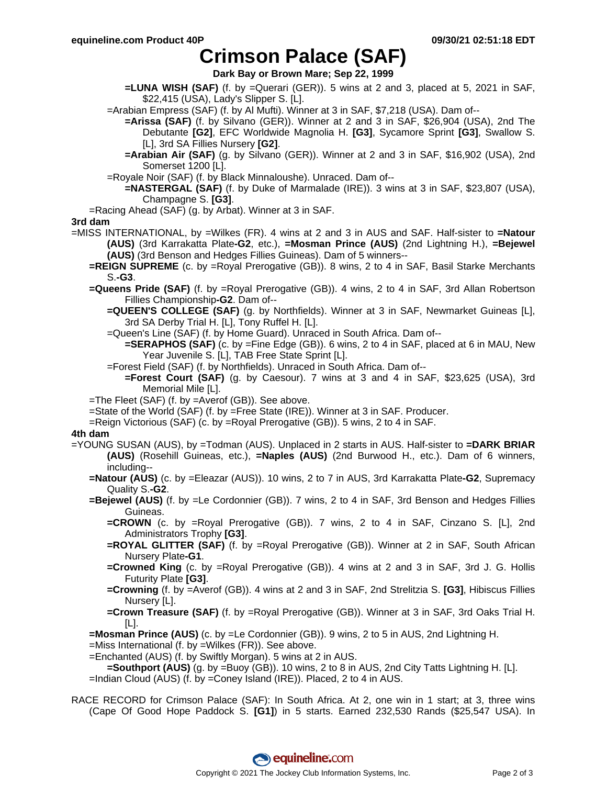# **Crimson Palace (SAF)**

**Dark Bay or Brown Mare; Sep 22, 1999**

- **=LUNA WISH (SAF)** (f. by =Querari (GER)). 5 wins at 2 and 3, placed at 5, 2021 in SAF, \$22,415 (USA), Lady's Slipper S. [L].
- =Arabian Empress (SAF) (f. by Al Mufti). Winner at 3 in SAF, \$7,218 (USA). Dam of--
	- **=Arissa (SAF)** (f. by Silvano (GER)). Winner at 2 and 3 in SAF, \$26,904 (USA), 2nd The Debutante **[G2]**, EFC Worldwide Magnolia H. **[G3]**, Sycamore Sprint **[G3]**, Swallow S. [L], 3rd SA Fillies Nursery **[G2]**.
	- **=Arabian Air (SAF)** (g. by Silvano (GER)). Winner at 2 and 3 in SAF, \$16,902 (USA), 2nd Somerset 1200 [L].
- =Royale Noir (SAF) (f. by Black Minnaloushe). Unraced. Dam of--
	- **=NASTERGAL (SAF)** (f. by Duke of Marmalade (IRE)). 3 wins at 3 in SAF, \$23,807 (USA), Champagne S. **[G3]**.
- =Racing Ahead (SAF) (g. by Arbat). Winner at 3 in SAF.

#### **3rd dam**

- =MISS INTERNATIONAL, by =Wilkes (FR). 4 wins at 2 and 3 in AUS and SAF. Half-sister to **=Natour (AUS)** (3rd Karrakatta Plate**-G2**, etc.), **=Mosman Prince (AUS)** (2nd Lightning H.), **=Bejewel (AUS)** (3rd Benson and Hedges Fillies Guineas). Dam of 5 winners--
	- **=REIGN SUPREME** (c. by =Royal Prerogative (GB)). 8 wins, 2 to 4 in SAF, Basil Starke Merchants S.**-G3**.
	- **=Queens Pride (SAF)** (f. by =Royal Prerogative (GB)). 4 wins, 2 to 4 in SAF, 3rd Allan Robertson Fillies Championship**-G2**. Dam of--
		- **=QUEEN'S COLLEGE (SAF)** (g. by Northfields). Winner at 3 in SAF, Newmarket Guineas [L], 3rd SA Derby Trial H. [L], Tony Ruffel H. [L].
		- =Queen's Line (SAF) (f. by Home Guard). Unraced in South Africa. Dam of--
			- **=SERAPHOS (SAF)** (c. by =Fine Edge (GB)). 6 wins, 2 to 4 in SAF, placed at 6 in MAU, New Year Juvenile S. [L], TAB Free State Sprint [L].
		- =Forest Field (SAF) (f. by Northfields). Unraced in South Africa. Dam of--
			- **=Forest Court (SAF)** (g. by Caesour). 7 wins at 3 and 4 in SAF, \$23,625 (USA), 3rd Memorial Mile [L].
	- =The Fleet (SAF) (f. by =Averof (GB)). See above.
	- =State of the World (SAF) (f. by =Free State (IRE)). Winner at 3 in SAF. Producer.
	- =Reign Victorious (SAF) (c. by =Royal Prerogative (GB)). 5 wins, 2 to 4 in SAF.

### **4th dam**

- =YOUNG SUSAN (AUS), by =Todman (AUS). Unplaced in 2 starts in AUS. Half-sister to **=DARK BRIAR (AUS)** (Rosehill Guineas, etc.), **=Naples (AUS)** (2nd Burwood H., etc.). Dam of 6 winners, including--
	- **=Natour (AUS)** (c. by =Eleazar (AUS)). 10 wins, 2 to 7 in AUS, 3rd Karrakatta Plate**-G2**, Supremacy Quality S.**-G2**.
	- **=Bejewel (AUS)** (f. by =Le Cordonnier (GB)). 7 wins, 2 to 4 in SAF, 3rd Benson and Hedges Fillies Guineas.
		- **=CROWN** (c. by =Royal Prerogative (GB)). 7 wins, 2 to 4 in SAF, Cinzano S. [L], 2nd Administrators Trophy **[G3]**.
		- **=ROYAL GLITTER (SAF)** (f. by =Royal Prerogative (GB)). Winner at 2 in SAF, South African Nursery Plate**-G1**.
		- **=Crowned King** (c. by =Royal Prerogative (GB)). 4 wins at 2 and 3 in SAF, 3rd J. G. Hollis Futurity Plate **[G3]**.
		- **=Crowning** (f. by =Averof (GB)). 4 wins at 2 and 3 in SAF, 2nd Strelitzia S. **[G3]**, Hibiscus Fillies Nursery [L].
		- **=Crown Treasure (SAF)** (f. by =Royal Prerogative (GB)). Winner at 3 in SAF, 3rd Oaks Trial H. [L].
	- **=Mosman Prince (AUS)** (c. by =Le Cordonnier (GB)). 9 wins, 2 to 5 in AUS, 2nd Lightning H.

=Miss International (f. by =Wilkes (FR)). See above.

=Enchanted (AUS) (f. by Swiftly Morgan). 5 wins at 2 in AUS.

**=Southport (AUS)** (g. by =Buoy (GB)). 10 wins, 2 to 8 in AUS, 2nd City Tatts Lightning H. [L]. =Indian Cloud (AUS) (f. by =Coney Island (IRE)). Placed, 2 to 4 in AUS.

RACE RECORD for Crimson Palace (SAF): In South Africa. At 2, one win in 1 start; at 3, three wins (Cape Of Good Hope Paddock S. **[G1]**) in 5 starts. Earned 232,530 Rands (\$25,547 USA). In